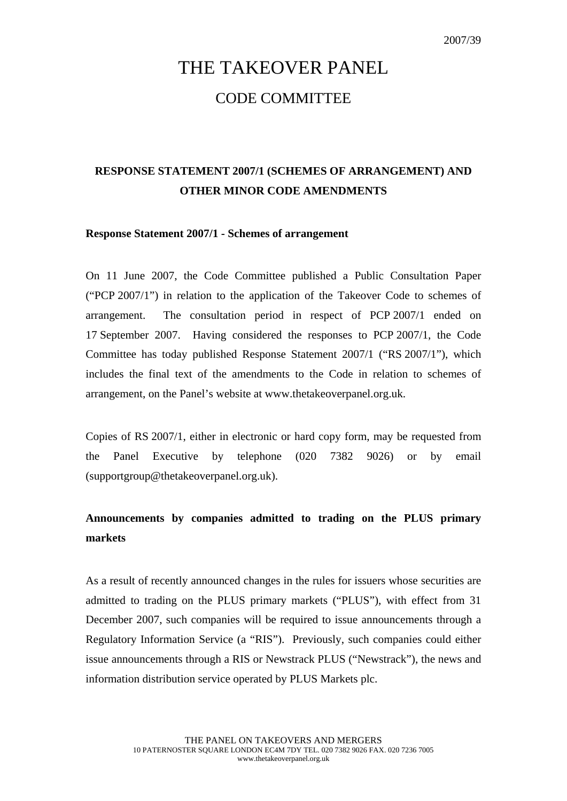# THE TAKEOVER PANEL CODE COMMITTEE

## **RESPONSE STATEMENT 2007/1 (SCHEMES OF ARRANGEMENT) AND OTHER MINOR CODE AMENDMENTS**

#### **Response Statement 2007/1 - Schemes of arrangement**

On 11 June 2007, the Code Committee published a Public Consultation Paper ("PCP 2007/1") in relation to the application of the Takeover Code to schemes of arrangement. The consultation period in respect of PCP 2007/1 ended on 17 September 2007. Having considered the responses to PCP 2007/1, the Code Committee has today published Response Statement 2007/1 ("RS 2007/1"), which includes the final text of the amendments to the Code in relation to schemes of arrangement, on the Panel's website at www.thetakeoverpanel.org.uk.

Copies of RS 2007/1, either in electronic or hard copy form, may be requested from the Panel Executive by telephone (020 7382 9026) or by email (supportgroup@thetakeoverpanel.org.uk).

### **Announcements by companies admitted to trading on the PLUS primary markets**

As a result of recently announced changes in the rules for issuers whose securities are admitted to trading on the PLUS primary markets ("PLUS"), with effect from 31 December 2007, such companies will be required to issue announcements through a Regulatory Information Service (a "RIS"). Previously, such companies could either issue announcements through a RIS or Newstrack PLUS ("Newstrack"), the news and information distribution service operated by PLUS Markets plc.